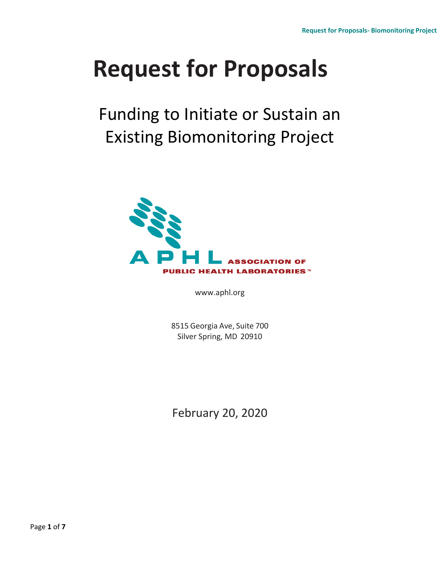# **Request for Proposals**

Funding to Initiate or Sustain an Existing Biomonitoring Project



[www.aphl.org](http://www.aphl.org/)

8515 Georgia Ave, Suite 700 Silver Spring, MD 20910

February 20, 2020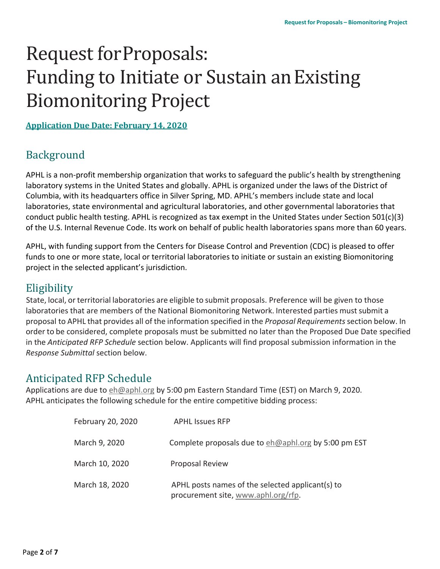## Request forProposals: Funding to Initiate or Sustain anExisting Biomonitoring Project

**Application Due Date: February 14, 2020**

## Background

APHL is a non-profit membership organization that works to safeguard the public's health by strengthening laboratory systems in the United States and globally. APHL is organized under the laws of the District of Columbia, with its headquarters office in Silver Spring, MD. APHL's members include state and local laboratories, state environmental and agricultural laboratories, and other governmental laboratories that conduct public health testing. APHL is recognized as tax exempt in the United States under Section 501(c)(3) of the U.S. Internal Revenue Code. Its work on behalf of public health laboratories spans more than 60 years.

APHL, with funding support from the Centers for Disease Control and Prevention (CDC) is pleased to offer funds to one or more state, local or territorial laboratories to initiate or sustain an existing Biomonitoring project in the selected applicant's jurisdiction.

## **Eligibility**

State, local, or territorial laboratories are eligible to submit proposals. Preference will be given to those laboratories that are members of the National Biomonitoring Network. Interested parties mustsubmit a proposal to APHL that provides all of the information specified in the *Proposal Requirements*section below. In order to be considered, complete proposals must be submitted no later than the Proposed Due Date specified in the *Anticipated RFP Schedule* section below. Applicants will find proposal submission information in the *Response Submittal* section below.

## Anticipated RFP Schedule

Applications are due t[o eh@aphl.org](mailto:eh@aphl.org) by 5:00 pm Eastern Standard Time (EST) on March 9, 2020. APHL anticipates the following schedule for the entire competitive bidding process:

| February 20, 2020 | <b>APHL Issues RFP</b>                                                                  |
|-------------------|-----------------------------------------------------------------------------------------|
| March 9, 2020     | Complete proposals due to eh@aphl.org by 5:00 pm EST                                    |
| March 10, 2020    | <b>Proposal Review</b>                                                                  |
| March 18, 2020    | APHL posts names of the selected applicant(s) to<br>procurement site, www.aphl.org/rfp. |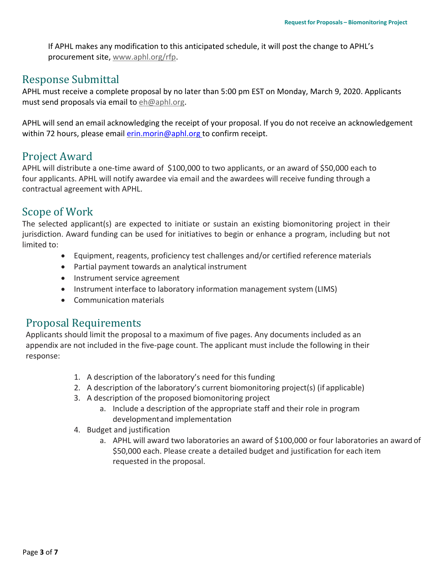If APHL makes any modification to this anticipated schedule, it will post the change to APHL's procurement site, [www.aphl.org/rfp.](http://www.aphl.org/rfp)

## Response Submittal

APHL must receive a complete proposal by no later than 5:00 pm EST on Monday, March 9, 2020. Applicants must send proposals via email to [eh@aphl.org.](mailto:eh@aphl.org)

APHL will send an email acknowledging the receipt of your proposal. If you do not receive an acknowledgement within 72 hours, please email [erin.morin@aphl.org](mailto:erin.morin@aphl.org) to confirm receipt.

## Project Award

APHL will distribute a one-time award of \$100,000 to two applicants, or an award of \$50,000 each to four applicants. APHL will notify awardee via email and the awardees will receive funding through a contractual agreement with APHL.

## Scope of Work

The selected applicant(s) are expected to initiate or sustain an existing biomonitoring project in their jurisdiction. Award funding can be used for initiatives to begin or enhance a program, including but not limited to:

- Equipment, reagents, proficiency test challenges and/or certified reference materials
- Partial payment towards an analytical instrument
- Instrument service agreement
- Instrument interface to laboratory information management system (LIMS)
- Communication materials

## Proposal Requirements

Applicants should limit the proposal to a maximum of five pages. Any documents included as an appendix are not included in the five-page count. The applicant must include the following in their response:

- 1. A description of the laboratory's need for thisfunding
- 2. A description of the laboratory's current biomonitoring project(s) (if applicable)
- 3. A description of the proposed biomonitoring project
	- a. Include a description of the appropriate staff and their role in program developmentand implementation
- 4. Budget and justification
	- a. APHL will award two laboratories an award of \$100,000 or four laboratories an award of \$50,000 each. Please create a detailed budget and justification for each item requested in the proposal.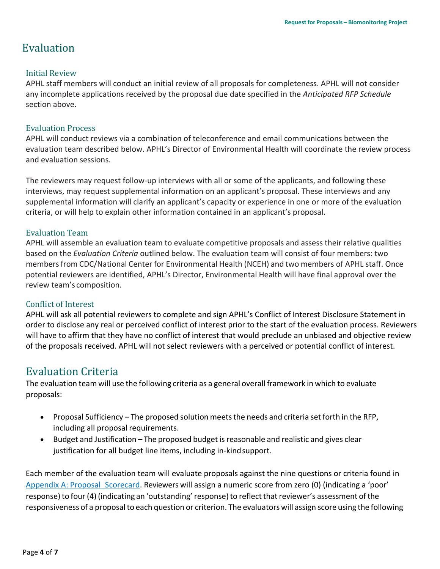## Evaluation

#### Initial Review

APHL staff members will conduct an initial review of all proposals for completeness. APHL will not consider any incomplete applications received by the proposal due date specified in the *Anticipated RFP Schedule*  section above.

#### Evaluation Process

APHL will conduct reviews via a combination of teleconference and email communications between the evaluation team described below. APHL's Director of Environmental Health will coordinate the review process and evaluation sessions.

The reviewers may request follow-up interviews with all or some of the applicants, and following these interviews, may request supplemental information on an applicant's proposal. These interviews and any supplemental information will clarify an applicant's capacity or experience in one or more of the evaluation criteria, or will help to explain other information contained in an applicant's proposal.

#### Evaluation Team

APHL will assemble an evaluation team to evaluate competitive proposals and assess their relative qualities based on the *Evaluation Criteria* outlined below. The evaluation team will consist of four members: two membersfrom CDC/National Center for Environmental Health (NCEH) and two members of APHL staff. Once potential reviewers are identified, APHL's Director, Environmental Health will have final approval over the review team's composition.

#### Conflict of Interest

APHL will ask all potential reviewers to complete and sign APHL's Conflict of Interest Disclosure Statement in order to disclose any real or perceived conflict of interest prior to the start of the evaluation process. Reviewers will have to affirm that they have no conflict of interest that would preclude an unbiased and objective review of the proposals received. APHL will not select reviewers with a perceived or potential conflict of interest.

## Evaluation Criteria

The evaluation team will use the following criteria as a general overall framework in which to evaluate proposals:

- Proposal Sufficiency The proposed solution meets the needs and criteria set forth in the RFP, including all proposal requirements.
- Budget and Justification *–* The proposed budget isreasonable and realistic and gives clear justification for all budget line items, including in-kindsupport.

Each member of the evaluation team will evaluate proposals against the nine questions or criteria found in [Appendix A: Proposal](#page-6-0) Scorecard. Reviewers will assign a numeric score from zero (0) (indicating a 'poor' response) to four (4) (indicating an 'outstanding' response) to reflect that reviewer's assessment of the responsiveness of a proposal to each question or criterion. The evaluators will assign score using the following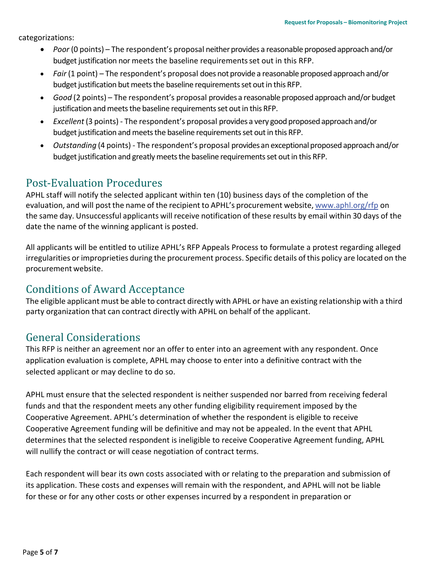categorizations:

- *Poor* (0 points) The respondent's proposal neither provides a reasonable proposed approach and/or budget justification nor meets the baseline requirementsset out in this RFP.
- *Fair* (1 point) The respondent's proposal does not provide a reasonable proposed approach and/or budget justification but meets the baseline requirements set out in this RFP.
- *Good* (2 points) The respondent's proposal provides a reasonable proposed approach and/or budget justification and meets the baseline requirements set out in this RFP.
- *Excellent* (3 points) The respondent's proposal provides a very good proposed approach and/or budget justification and meets the baseline requirements set out in this RFP.
- *Outstanding* (4 points) The respondent's proposal provides an exceptional proposed approach and/or budget justification and greatly meets the baseline requirements set out in this RFP.

## Post-Evaluation Procedures

APHL staff will notify the selected applicant within ten (10) business days of the completion of the evaluation, and will post the name of the recipient to APHL's procurement website, [www.aphl.org/rfp](http://www.aphl.org/rfp) on the same day. Unsuccessful applicants will receive notification of these results by email within 30 days of the date the name of the winning applicant is posted.

All applicants will be entitled to utilize APHL's RFP Appeals Process to formulate a protest regarding alleged irregularities or improprieties during the procurement process. Specific details of this policy are located on the procurement website.

## Conditions of Award Acceptance

The eligible applicant must be able to contract directly with APHL or have an existing relationship with a third party organization that can contract directly with APHL on behalf of the applicant.

## General Considerations

This RFP is neither an agreement nor an offer to enter into an agreement with any respondent. Once application evaluation is complete, APHL may choose to enter into a definitive contract with the selected applicant or may decline to do so.

APHL must ensure that the selected respondent is neither suspended nor barred from receiving federal funds and that the respondent meets any other funding eligibility requirement imposed by the Cooperative Agreement. APHL's determination of whether the respondent is eligible to receive Cooperative Agreement funding will be definitive and may not be appealed. In the event that APHL determines that the selected respondent is ineligible to receive Cooperative Agreement funding, APHL will nullify the contract or will cease negotiation of contract terms.

Each respondent will bear its own costs associated with or relating to the preparation and submission of its application. These costs and expenses will remain with the respondent, and APHL will not be liable for these or for any other costs or other expenses incurred by a respondent in preparation or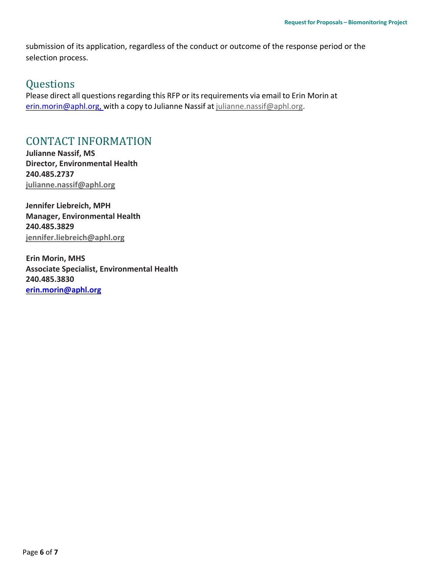submission of its application, regardless of the conduct or outcome of the response period or the selection process.

### **Questions**

Please direct all questions regarding this RFP or its requirements via email to Erin Morin at [erin.morin@aphl.org,](mailto:erin.morin@aphl.org,) with a copy to Julianne Nassif at [julianne.nassif@aphl.org.](mailto:julianne.nassif@aphl.org)

## CONTACT INFORMATION

**Julianne Nassif, MS Director, Environmental Health 240.485.2737 [julianne.nassif@aphl.org](mailto:julianne.nassif@aphl.org)**

**Jennifer Liebreich, MPH Manager, Environmental Health 240.485.3829 [jennifer.liebreich@aphl.org](mailto:jennifer.liebreich@aphl.org)**

**Erin Morin, MHS Associate Specialist, Environmental Health 240.485.3830 [erin.morin@aphl.org](mailto:erin.morin@aphl.org)**